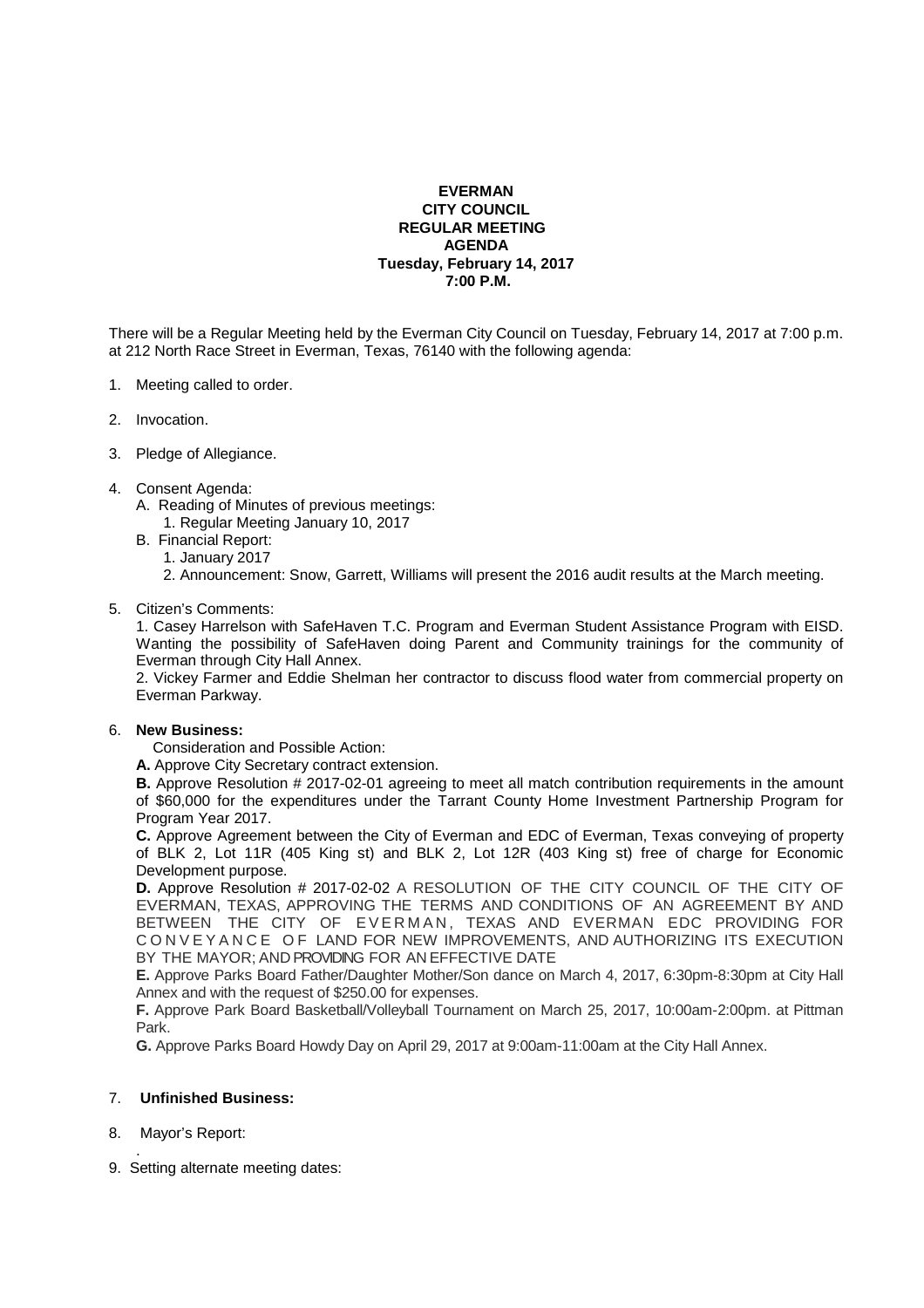## **EVERMAN CITY COUNCIL REGULAR MEETING AGENDA Tuesday, February 14, 2017 7:00 P.M.**

There will be a Regular Meeting held by the Everman City Council on Tuesday, February 14, 2017 at 7:00 p.m. at 212 North Race Street in Everman, Texas, 76140 with the following agenda:

- 1. Meeting called to order.
- 2. Invocation.
- 3. Pledge of Allegiance.
- 4. Consent Agenda:
	- A. Reading of Minutes of previous meetings: 1. Regular Meeting January 10, 2017
	- B. Financial Report:
		- 1. January 2017
		- 2. Announcement: Snow, Garrett, Williams will present the 2016 audit results at the March meeting.
- 5. Citizen's Comments:

 1. Casey Harrelson with SafeHaven T.C. Program and Everman Student Assistance Program with EISD. Wanting the possibility of SafeHaven doing Parent and Community trainings for the community of Everman through City Hall Annex.

 2. Vickey Farmer and Eddie Shelman her contractor to discuss flood water from commercial property on Everman Parkway.

## 6. **New Business:**

Consideration and Possible Action:

**A.** Approve City Secretary contract extension.

**B.** Approve Resolution # 2017-02-01 agreeing to meet all match contribution requirements in the amount of \$60,000 for the expenditures under the Tarrant County Home Investment Partnership Program for Program Year 2017.

**C.** Approve Agreement between the City of Everman and EDC of Everman, Texas conveying of property of BLK 2, Lot 11R (405 King st) and BLK 2, Lot 12R (403 King st) free of charge for Economic Development purpose.

**D.** Approve Resolution # 2017-02-02 A RESOLUTION OF THE CITY COUNCIL OF THE CITY OF EVERMAN, TEXAS, APPROVING THE TERMS AND CONDITIONS OF AN AGREEMENT BY AND BETWEEN THE CITY OF EVERMAN, TEXAS AND EVERMAN EDC PROVIDING FOR C O N V E Y A N C E O F LAND FOR NEW IMPROVEMENTS, AND AUTHORIZING ITS EXECUTION BY THE MAYOR; AND PROVIDING FOR AN EFFECTIVE DATE

**E.** Approve Parks Board Father/Daughter Mother/Son dance on March 4, 2017, 6:30pm-8:30pm at City Hall Annex and with the request of \$250.00 for expenses.

**F.** Approve Park Board Basketball/Volleyball Tournament on March 25, 2017, 10:00am-2:00pm. at Pittman Park.

**G.** Approve Parks Board Howdy Day on April 29, 2017 at 9:00am-11:00am at the City Hall Annex.

## 7. **Unfinished Business:**

- 8. Mayor's Report:
- . 9. Setting alternate meeting dates: